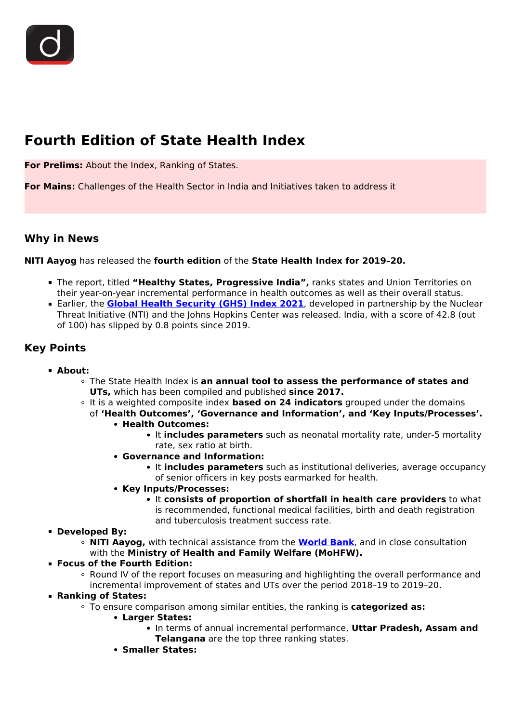# **Fourth Edition of State Health Index**

**For Prelims:** About the Index, Ranking of States.

**For Mains:** Challenges of the Health Sector in India and Initiatives taken to address it

## **Why in News**

**NITI Aayog** has released the **fourth edition** of the **State Health Index for 2019–20.**

- The report, titled **"Healthy States, Progressive India",** ranks states and Union Territories on their year-on-year incremental performance in health outcomes as well as their overall status.
- **Earlier, the <b>[Global Health Security \(GHS\) Index 2021](/daily-updates/daily-news-analysis/global-health-security-index-2021)**, developed in partnership by the Nuclear Threat Initiative (NTI) and the Johns Hopkins Center was released. India, with a score of 42.8 (out of 100) has slipped by 0.8 points since 2019.

## **Key Points**

- **About:**
	- The State Health Index is **an annual tool to assess the performance of states and UTs,** which has been compiled and published **since 2017.**
	- It is a weighted composite index **based on 24 indicators** grouped under the domains of **'Health Outcomes', 'Governance and Information', and 'Key Inputs/Processes'.**
		- **Health Outcomes:**
			- **It includes parameters** such as neonatal mortality rate, under-5 mortality rate, sex ratio at birth.
			- **Governance and Information:**
				- It **includes parameters** such as institutional deliveries, average occupancy of senior officers in key posts earmarked for health.
		- **Key Inputs/Processes:**
			- **.** It consists of proportion of shortfall in health care providers to what is recommended, functional medical facilities, birth and death registration and tuberculosis treatment success rate.

#### **Developed By:**

- **NITI Aayog,** with technical assistance from the **[World Bank](/important-institutions/drishti-specials-important-institutions-international-institution/world-bank-group)**, and in close consultation with the **Ministry of Health and Family Welfare (MoHFW).**
- **Focus of the Fourth Edition:**
	- Round IV of the report focuses on measuring and highlighting the overall performance and incremental improvement of states and UTs over the period 2018–19 to 2019–20.
- **Ranking of States:**
	- To ensure comparison among similar entities, the ranking is **categorized as:**
		- **Larger States:**
			- In terms of annual incremental performance, **Uttar Pradesh, Assam and Telangana** are the top three ranking states.
		- **Smaller States:**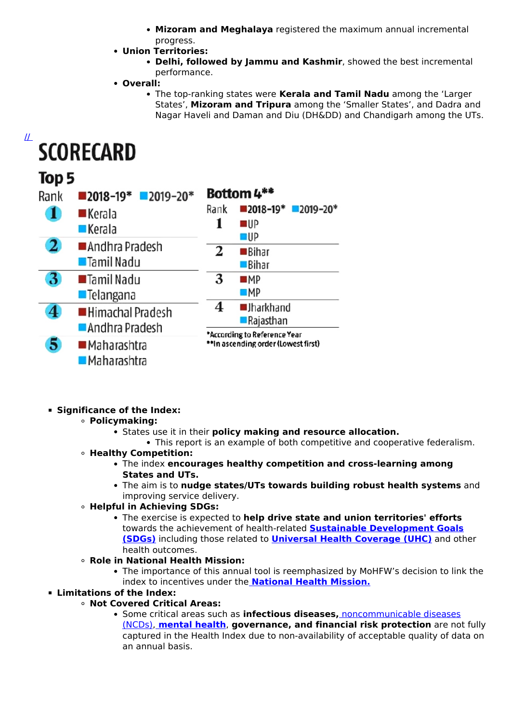- **Mizoram and Meghalaya** registered the maximum annual incremental progress.
- **Union Territories:**
	- **Delhi, followed by Jammu and Kashmir**, showed the best incremental performance.
- **Overall:**
	- The top-ranking states were **Kerala and Tamil Nadu** among the 'Larger States', **Mizoram and Tripura** among the 'Smaller States', and Dadra and Nagar Haveli and Daman and Diu (DH&DD) and Chandigarh among the UTs.

## $\underline{\mu}$ **SCORECARD**

## Top<sub>5</sub>

| Rank | $2018-19*$ 2019-20*                         | Bottom 4**                                                                                                         |
|------|---------------------------------------------|--------------------------------------------------------------------------------------------------------------------|
|      | $\blacksquare$ Kerala<br><b>■Kerala</b>     | $2018 - 19$ $2019 - 20$ <sup>*</sup><br>Rank<br>⊞UP<br>⊟UP                                                         |
| 2    | ■Andhra Pradesh<br><b>■Tamil Nadu</b>       | 2<br>■Bihar<br>■Bihar                                                                                              |
| 3    | <b>■Tamil Nadu</b><br><b>■Telangana</b>     | 3<br>M<br>$M$ P                                                                                                    |
| 4    | ■Himachal Pradesh<br><b>■Andhra Pradesh</b> | 4<br><b>Inarkhand</b><br><b>■Rajasthan</b><br>*According to Reference Year<br>** In ascending order (Lowest first) |
| 5    | ■Maharashtra<br><b>■Maharashtra</b>         |                                                                                                                    |

## **Significance of the Index:**

## **Policymaking:**

- States use it in their **policy making and resource allocation.**
	- This report is an example of both competitive and cooperative federalism.
- **Healthy Competition:**
	- The index **encourages healthy competition and cross-learning among States and UTs.**
	- The aim is to **nudge states/UTs towards building robust health systems** and improving service delivery.

#### **Helpful in Achieving SDGs:**

- The exercise is expected to **help drive state and union territories' efforts** towards the achievement of health-related **[Sustainable Development Goals](/to-the-points/paper3/sustainable-development-3) [\(SDGs\)](/to-the-points/paper3/sustainable-development-3)** including those related to **[Universal Health Coverage \(UHC\)](/daily-updates/daily-news-editorials/universal-health-coverage-1)** and other health outcomes.
- **Role in National Health Mission:**
	- The importance of this annual tool is reemphasized by MoHFW's decision to link the index to incentives under the **[National Health Mission.](/daily-updates/daily-news-analysis/national-health-mission-1)**

## **Limitations of the Index:**

- **Not Covered Critical Areas:**
	- Some critical areas such as **infectious diseases,** [noncommunicable diseases](/daily-updates/daily-news-analysis/non-communicable-diseases-in-india) [\(NCDs\),](/daily-updates/daily-news-analysis/non-communicable-diseases-in-india) **[mental health](/daily-updates/daily-news-analysis/issue-of-mental-health)**, **governance, and financial risk protection** are not fully captured in the Health Index due to non-availability of acceptable quality of data on an annual basis.